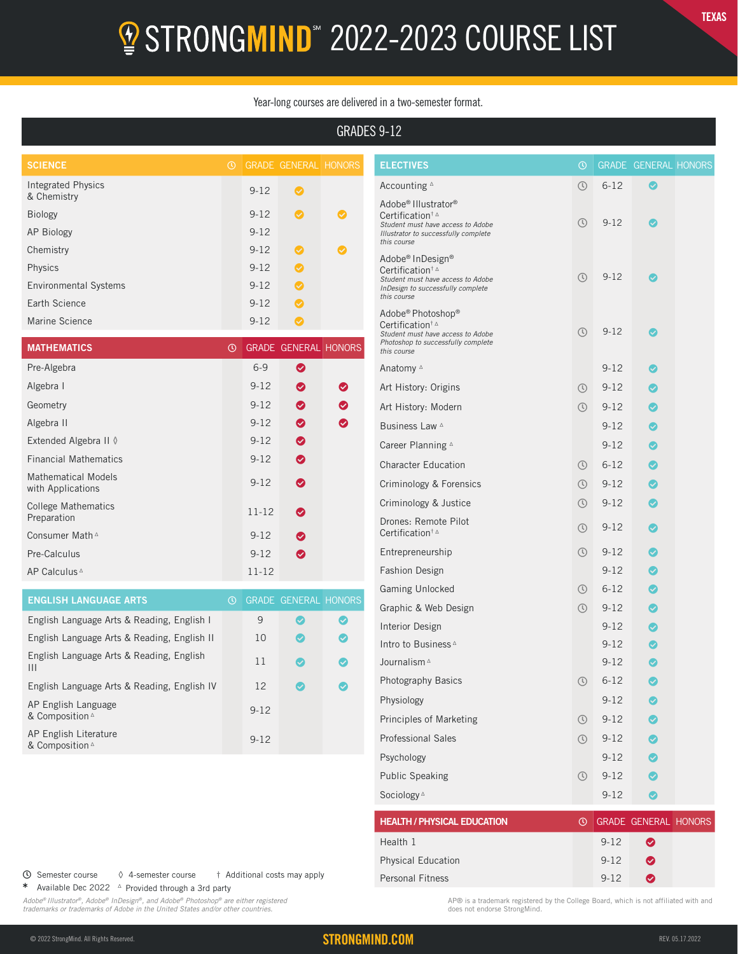# **2** STRONGMIND<sup>\*</sup> 2022-2023 COURSE LIST

#### Year-long courses are delivered in a two-semester format.

## GRADES 9-12

| <b>SCIENCE</b>                           | $\odot$ |          | <b>GRADE GENERAL HONORS</b> |              |
|------------------------------------------|---------|----------|-----------------------------|--------------|
| <b>Integrated Physics</b><br>& Chemistry |         | $9 - 12$ | Ø                           |              |
| <b>Biology</b>                           |         | $9 - 12$ | Ø                           | $\checkmark$ |
| AP Biology                               |         | $9 - 12$ |                             |              |
| Chemistry                                |         | $9 - 12$ | Ø                           | $\checkmark$ |
| Physics                                  |         | $9 - 12$ | (V                          |              |
| <b>Environmental Systems</b>             |         | $9 - 12$ | $\checkmark$                |              |
| Earth Science                            |         | $9 - 12$ | Ø                           |              |
| Marine Science                           |         | $9 - 12$ |                             |              |

| <b>MATHEMATICS</b>                              | $\odot$ |           | <b>GRADE GENERAL HONORS</b> |   |
|-------------------------------------------------|---------|-----------|-----------------------------|---|
| Pre-Algebra                                     |         | $6 - 9$   | ◙                           |   |
| Algebra I                                       |         | $9 - 12$  | ◙                           | ◎ |
| Geometry                                        |         | $9 - 12$  | ◙                           | ◙ |
| Algebra II                                      |         | $9 - 12$  | ◙                           | ◙ |
| Extended Algebra II ♦                           |         | $9 - 12$  | ◙                           |   |
| <b>Financial Mathematics</b>                    |         | $9 - 12$  | ◙                           |   |
| <b>Mathematical Models</b><br>with Applications |         | $9 - 12$  | ◙                           |   |
| <b>College Mathematics</b><br>Preparation       |         | $11 - 12$ | ◙                           |   |
| Consumer Math <sup>A</sup>                      |         | $9 - 12$  | ◙                           |   |
| Pre-Calculus                                    |         | $9 - 12$  | ◙                           |   |
| AP Calculus <sup>4</sup>                        |         | $11 - 12$ |                             |   |

| <b>ENGLISH LANGUAGE ARTS</b>                  | $\mathcal{L}$ |          | <b>GRADE GENERAL HONORS</b> |                       |
|-----------------------------------------------|---------------|----------|-----------------------------|-----------------------|
| English Language Arts & Reading, English I    |               | 9        | $\checkmark$                | $\boldsymbol{\omega}$ |
| English Language Arts & Reading, English II   |               | 10       |                             | Ø                     |
| English Language Arts & Reading, English<br>Ш |               | 11       | $\sim$                      | $\boldsymbol{\omega}$ |
| English Language Arts & Reading, English IV   |               | 12       | $\sim$                      | Ø                     |
| AP English Language<br>& Composition 4        |               | $9 - 12$ |                             |                       |
| AP English Literature<br>& Composition 4      |               | $9 - 12$ |                             |                       |

| <b>ELECTIVES</b>                                                                                                                                                      | $_{\tiny\textregistered}$ |          | <b>GRADE GENERAL HONORS</b> |  |
|-----------------------------------------------------------------------------------------------------------------------------------------------------------------------|---------------------------|----------|-----------------------------|--|
| Accounting A                                                                                                                                                          | $\circledcirc$            | $6 - 12$ | Ø                           |  |
| Adobe <sup>®</sup> Illustrator <sup>®</sup><br>Certification <sup>†</sup><br>Student must have access to Adobe<br>Illustrator to successfully complete<br>this course | ➀                         | $9 - 12$ | $\boldsymbol{\omega}$       |  |
| Adobe <sup>®</sup> InDesign <sup>®</sup><br>Certification <sup>†</sup><br>Student must have access to Adobe<br>InDesign to successfully complete<br>this course       | $\odot$                   | $9 - 12$ | ◙                           |  |
| Adobe® Photoshop®<br>Certification <sup>†</sup><br>Student must have access to Adobe<br>Photoshop to successfully complete<br>this course                             | ➀                         | $9 - 12$ |                             |  |
| Anatomy ∆                                                                                                                                                             |                           | $9 - 12$ | Ø                           |  |
| Art History: Origins                                                                                                                                                  | $\circledcirc$            | $9 - 12$ | ◎                           |  |
| Art History: Modern                                                                                                                                                   | $\circledcirc$            | $9 - 12$ | ◙                           |  |
| Business Law ∆                                                                                                                                                        |                           | $9 - 12$ | $\bullet$                   |  |
| Career Planning <sup>A</sup>                                                                                                                                          |                           | $9 - 12$ | $\bullet$                   |  |
| <b>Character Education</b>                                                                                                                                            | $\circledcirc$            | $6 - 12$ | ◙                           |  |
| Criminology & Forensics                                                                                                                                               | $\circledcirc$            | $9 - 12$ | $\bullet$                   |  |
| Criminology & Justice                                                                                                                                                 | $\circledcirc$            | $9 - 12$ | ◙                           |  |
| Drones: Remote Pilot<br>Certification <sup>†</sup>                                                                                                                    | $\circled{r}$             | $9 - 12$ | ◙                           |  |
| Entrepreneurship                                                                                                                                                      | $\circledcirc$            | $9 - 12$ | ◙                           |  |
| <b>Fashion Design</b>                                                                                                                                                 |                           | $9 - 12$ | $\bullet$                   |  |
| Gaming Unlocked                                                                                                                                                       | $\circledcirc$            | $6 - 12$ | Ø                           |  |
| Graphic & Web Design                                                                                                                                                  | $\circledcirc$            | $9 - 12$ | ◎                           |  |
| <b>Interior Design</b>                                                                                                                                                |                           | $9 - 12$ | ◎                           |  |
| Intro to Business ∆                                                                                                                                                   |                           | $9 - 12$ | $\bullet$                   |  |
| Journalism <sup>A</sup>                                                                                                                                               |                           | $9 - 12$ | ◙                           |  |
| Photography Basics                                                                                                                                                    | $\circledcirc$            | $6 - 12$ | ◙                           |  |
| Physiology                                                                                                                                                            |                           | $9 - 12$ |                             |  |
| Principles of Marketing                                                                                                                                               | $\odot$                   | $9 - 12$ |                             |  |
| <b>Professional Sales</b>                                                                                                                                             | $\odot$                   | $9 - 12$ | ◙                           |  |
| Psychology                                                                                                                                                            |                           | $9 - 12$ | ◙                           |  |
| <b>Public Speaking</b>                                                                                                                                                | $\odot$                   | $9 - 12$ | Ø                           |  |
| Sociology <sup>A</sup>                                                                                                                                                |                           | $9 - 12$ | ◙                           |  |
| <b>HEALTH / PHYSICAL EDUCATION</b>                                                                                                                                    | $_{\odot}$                |          | GRADE GENERAL HONORS        |  |
| Health 1                                                                                                                                                              |                           | $9 - 12$ | ◙                           |  |
| <b>Physical Education</b>                                                                                                                                             |                           | $9 - 12$ | ❤                           |  |
| Personal Fitness                                                                                                                                                      |                           | $9 - 12$ | ◙                           |  |

Semester course ◊ 4-semester course † Additional costs may apply

\* Available Dec 2022 Δ Provided through a 3rd party

*Adobe® Illustrator®, Adobe® InDesign®, and Adobe® Photoshop® are either registered trademarks or trademarks of Adobe in the United States and/or other countries.*

AP® is a trademark registered by the College Board, which is not affiliated with and does not endorse StrongMind.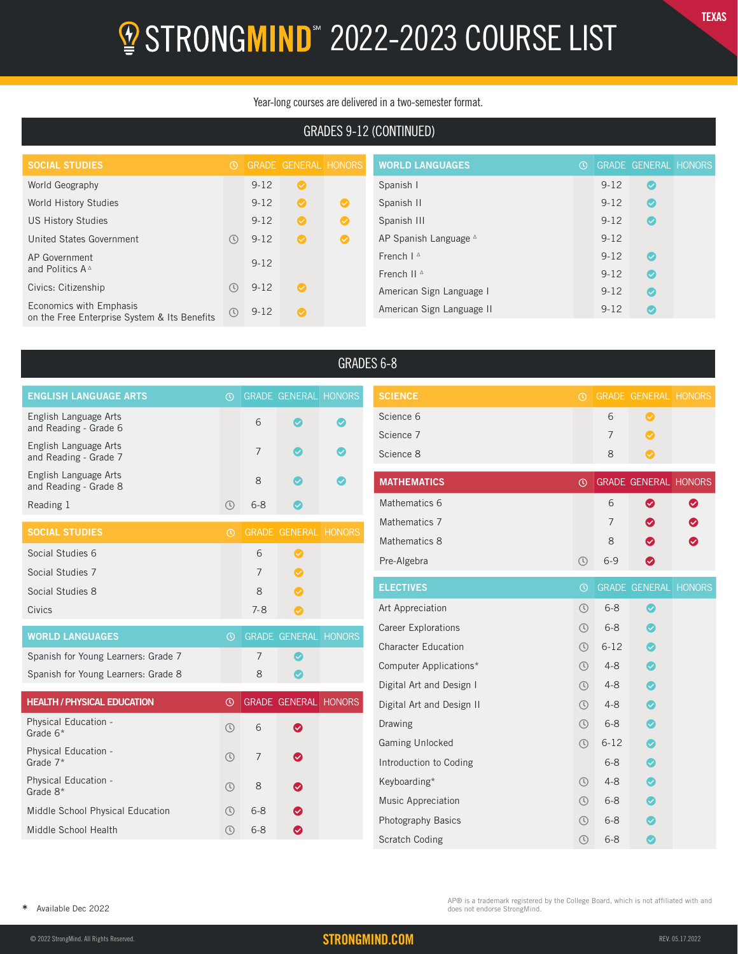# **2** STRONGMIND<sup>\*</sup> 2022-2023 COURSE LIST

#### Year-long courses are delivered in a two-semester format.

## GRADES 9-12 (CONTINUED)

| <b>SOCIAL STUDIES</b>                        | $\circ$                     |          | GRADE GENERAL HONORS |           | <b>WORLD LANGUAGES</b>           | $\Omega$ |          | <b>GRADE GENERAL HONORS</b> |  |
|----------------------------------------------|-----------------------------|----------|----------------------|-----------|----------------------------------|----------|----------|-----------------------------|--|
| World Geography                              |                             | $9 - 12$ | $\bullet$            |           | Spanish I                        |          | $9 - 12$ | Ø                           |  |
| World History Studies                        |                             | $9 - 12$ | ◉                    | $\bullet$ | Spanish II                       |          | $9 - 12$ | $\bullet$                   |  |
| <b>US History Studies</b>                    |                             | $9 - 12$ | $\bullet$            | $\bullet$ | Spanish III                      |          | $9 - 12$ | $\bullet$                   |  |
| United States Government                     | $\left( \mathbf{U}\right)$  | $9 - 12$ | $\bullet$            | $\bullet$ | AP Spanish Language <sup>A</sup> |          | $9 - 12$ |                             |  |
| AP Government                                |                             | $9 - 12$ |                      |           | French $I^{\Delta}$              |          | $9 - 12$ | $\bullet$                   |  |
| and Politics $A^{\Delta}$                    |                             |          |                      |           | French II <sup>A</sup>           |          | $9 - 12$ | $\bullet$                   |  |
| Civics: Citizenship                          | $\left( \mathbf{U}\right)$  | $9 - 12$ | $\bullet$            |           | American Sign Language I         |          | $9 - 12$ | $\bullet$                   |  |
| Economics with Emphasis                      | $\left(\mathfrak{t}\right)$ | $9 - 12$ | $\bullet$            |           | American Sign Language II        |          | $9 - 12$ | $\bullet$                   |  |
| on the Free Enterprise System & Its Benefits |                             |          |                      |           |                                  |          |          |                             |  |

| <b>ENGLISH LANGUAGE ARTS</b>                   | $\odot$       |                | <b>GRADE GENERAL HONORS</b> |  |
|------------------------------------------------|---------------|----------------|-----------------------------|--|
| English Language Arts<br>and Reading - Grade 6 |               | 6              |                             |  |
| English Language Arts                          |               |                |                             |  |
| and Reading - Grade 7                          |               | $\overline{7}$ |                             |  |
| English Language Arts<br>and Reading - Grade 8 |               | $\mathsf{R}$   |                             |  |
| Reading 1                                      | $\mathcal{L}$ | $6 - 8$        |                             |  |
| <b>SOCIAL STUDIES</b>                          | $\circ$       |                | <b>GRADE GENERAL HONORS</b> |  |
|                                                |               |                |                             |  |
|                                                |               |                |                             |  |
| Social Studies 6                               |               | 6              | ◙                           |  |
| Social Studies 7                               |               | $\overline{7}$ | ◙                           |  |
| Social Studies 8                               |               | 8              | ◙                           |  |
| Civics                                         |               | $7 - 8$        | Ø                           |  |
|                                                |               |                |                             |  |
| <b>WORLD LANGUAGES</b>                         | $\odot$       |                | <b>GRADE GENERAL HONORS</b> |  |

| <b>HEALTH / PHYSICAL EDUCATION</b>        | ᠗                           |                | <b>GRADE GENERAL HONORS</b> |  |
|-------------------------------------------|-----------------------------|----------------|-----------------------------|--|
| <b>Physical Education -</b><br>Grade 6*   | $\mathcal{L}$               | 6              | ◙                           |  |
| <b>Physical Education -</b><br>Grade $7*$ | $\mathbb{O}$                | $\overline{7}$ | ◙                           |  |
| Physical Education -<br>Grade 8*          | $\circledR$                 | 8              | ◙                           |  |
| Middle School Physical Education          | $\left(\mathfrak{l}\right)$ | $6 - 8$        | ◙                           |  |
| Middle School Health                      |                             | $6 - 8$        |                             |  |

Spanish for Young Learners: Grade 8 8 8 8 8

# GRADES 6-8

| <b>SCIENCE</b>             | $\odot$        |                | <b>GRADE GENERAL HONORS</b> |   |
|----------------------------|----------------|----------------|-----------------------------|---|
| Science 6                  |                | 6              | ◙                           |   |
| Science 7                  |                | $\overline{7}$ | ◙                           |   |
| Science 8                  |                | 8              | ◙                           |   |
| <b>MATHEMATICS</b>         | $\circledcirc$ |                | <b>GRADE GENERAL HONORS</b> |   |
| Mathematics 6              |                | 6              | ◎                           | ◙ |
| Mathematics 7              |                | 7              | ☎                           | ◙ |
| Mathematics 8              |                | 8              | ◙                           | ◙ |
| Pre-Algebra                | $\odot$        | $6 - 9$        | ◙                           |   |
| <b>ELECTIVES</b>           | $\odot$        |                | <b>GRADE GENERAL HONORS</b> |   |
|                            |                |                |                             |   |
| Art Appreciation           | $\circledR$    | $6 - 8$        | Ø                           |   |
| <b>Career Explorations</b> | $\circledcirc$ | $6 - 8$        | Ø                           |   |
| <b>Character Education</b> | $\circ$        | $6 - 12$       |                             |   |
| Computer Applications*     | $\circledcirc$ | $4 - 8$        | Ø                           |   |
| Digital Art and Design I   | $\circledcirc$ | $4 - 8$        | ◙                           |   |
| Digital Art and Design II  | $\circ$        | $4 - 8$        | ◙                           |   |
| Drawing                    | $\circledcirc$ | $6 - 8$        |                             |   |
| <b>Gaming Unlocked</b>     | $\circledcirc$ | $6 - 12$       |                             |   |
| Introduction to Coding     |                | $6 - 8$        |                             |   |
|                            |                | $4 - 8$        | ◙                           |   |
| Keyboarding*               | $\circledcirc$ |                |                             |   |
| Music Appreciation         | $\circledcirc$ | $6 - 8$        |                             |   |
| <b>Photography Basics</b>  | $\circ$        | $6 - 8$        |                             |   |

AP® is a trademark registered by the College Board, which is not affiliated with and does not endorse StrongMind.